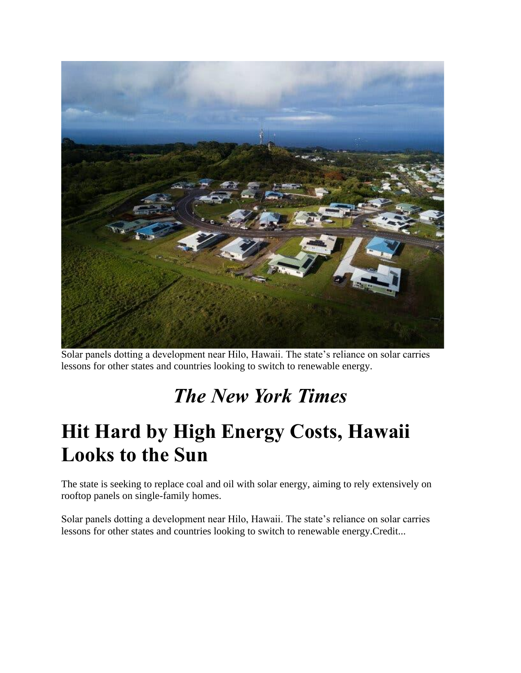

Solar panels dotting a development near Hilo, Hawaii. The state's reliance on solar carries lessons for other states and countries looking to switch to renewable energy.

# *The New York Times*

# **Hit Hard by High Energy Costs, Hawaii Looks to the Sun**

The state is seeking to replace coal and oil with solar energy, aiming to rely extensively on rooftop panels on single-family homes.

Solar panels dotting a development near Hilo, Hawaii. The state's reliance on solar carries lessons for other states and countries looking to switch to renewable energy.Credit...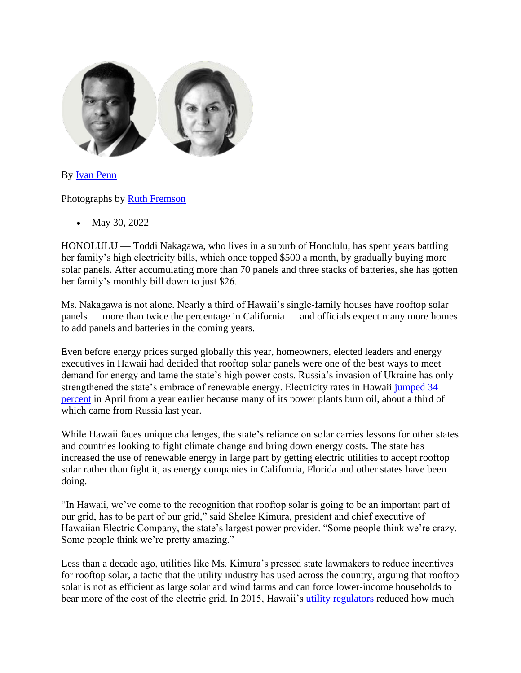

By [Ivan Penn](https://www.nytimes.com/by/ivan-penn)

Photographs by [Ruth Fremson](https://www.nytimes.com/by/ruth-fremson)

• May 30, 2022

HONOLULU — Toddi Nakagawa, who lives in a suburb of Honolulu, has spent years battling her family's high electricity bills, which once topped \$500 a month, by gradually buying more solar panels. After accumulating more than 70 panels and three stacks of batteries, she has gotten her family's monthly bill down to just \$26.

Ms. Nakagawa is not alone. Nearly a third of Hawaii's single-family houses have rooftop solar panels — more than twice the percentage in California — and officials expect many more homes to add panels and batteries in the coming years.

Even before energy prices surged globally this year, homeowners, elected leaders and energy executives in Hawaii had decided that rooftop solar panels were one of the best ways to meet demand for energy and tame the state's high power costs. Russia's invasion of Ukraine has only strengthened the state's embrace of renewable energy. Electricity rates in Hawaii [jumped 34](https://www.bls.gov/regions/midwest/data/averageenergyprices_selectedareas_table.htm)  [percent](https://www.bls.gov/regions/midwest/data/averageenergyprices_selectedareas_table.htm) in April from a year earlier because many of its power plants burn oil, about a third of which came from Russia last year.

While Hawaii faces unique challenges, the state's reliance on solar carries lessons for other states and countries looking to fight climate change and bring down energy costs. The state has increased the use of renewable energy in large part by getting electric utilities to accept rooftop solar rather than fight it, as energy companies in California, Florida and other states have been doing.

"In Hawaii, we've come to the recognition that rooftop solar is going to be an important part of our grid, has to be part of our grid," said Shelee Kimura, president and chief executive of Hawaiian Electric Company, the state's largest power provider. "Some people think we're crazy. Some people think we're pretty amazing."

Less than a decade ago, utilities like Ms. Kimura's pressed state lawmakers to reduce incentives for rooftop solar, a tactic that the utility industry has used across the country, arguing that rooftop solar is not as efficient as large solar and wind farms and can force lower-income households to bear more of the cost of the electric grid. In 2015, Hawaii's [utility regulators](https://dms.puc.hawaii.gov/dms/DocumentViewer?pid=A1001001A15J13B15422F90464) reduced how much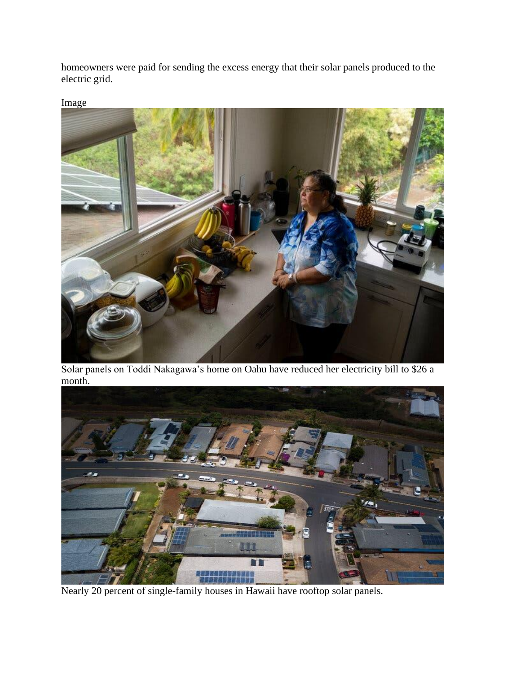homeowners were paid for sending the excess energy that their solar panels produced to the electric grid.



Solar panels on Toddi Nakagawa's home on Oahu have reduced her electricity bill to \$26 a month.



Nearly 20 percent of single-family houses in Hawaii have rooftop solar panels.

Image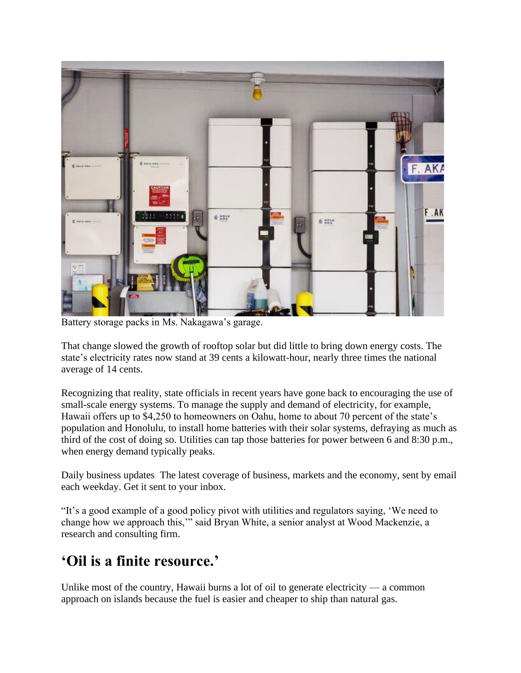

Battery storage packs in Ms. Nakagawa's garage.

That change slowed the growth of rooftop solar but did little to bring down energy costs. The state's electricity rates now stand at 39 cents a kilowatt-hour, nearly three times the national average of 14 cents.

Recognizing that reality, state officials in recent years have gone back to encouraging the use of small-scale energy systems. To manage the supply and demand of electricity, for example, Hawaii offers up to \$4,250 to homeowners on Oahu, home to about 70 percent of the state's population and Honolulu, to install home batteries with their solar systems, defraying as much as third of the cost of doing so. Utilities can tap those batteries for power between 6 and 8:30 p.m., when energy demand typically peaks.

Daily business updates The latest coverage of business, markets and the economy, sent by email each weekday. Get it sent to your inbox.

"It's a good example of a good policy pivot with utilities and regulators saying, 'We need to change how we approach this,'" said Bryan White, a senior analyst at Wood Mackenzie, a research and consulting firm.

## **'Oil is a finite resource.'**

Unlike most of the country, Hawaii burns a lot of oil to generate electricity  $\frac{1}{2}$  a common approach on islands because the fuel is easier and cheaper to ship than natural gas.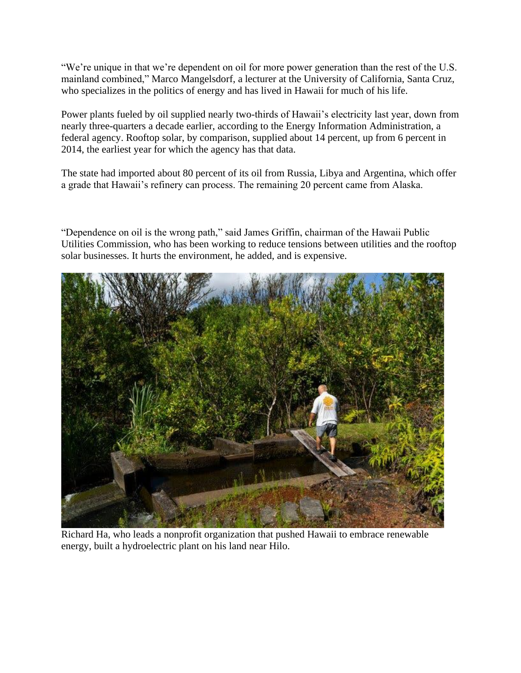"We're unique in that we're dependent on oil for more power generation than the rest of the U.S. mainland combined," Marco Mangelsdorf, a lecturer at the University of California, Santa Cruz, who specializes in the politics of energy and has lived in Hawaii for much of his life.

Power plants fueled by oil supplied nearly two-thirds of Hawaii's electricity last year, down from nearly three-quarters a decade earlier, according to the Energy Information Administration, a federal agency. Rooftop solar, by comparison, supplied about 14 percent, up from 6 percent in 2014, the earliest year for which the agency has that data.

The state had imported about 80 percent of its oil from Russia, Libya and Argentina, which offer a grade that Hawaii's refinery can process. The remaining 20 percent came from Alaska.

"Dependence on oil is the wrong path," said James Griffin, chairman of the Hawaii Public Utilities Commission, who has been working to reduce tensions between utilities and the rooftop solar businesses. It hurts the environment, he added, and is expensive.



Richard Ha, who leads a nonprofit organization that pushed Hawaii to embrace renewable energy, built a hydroelectric plant on his land near Hilo.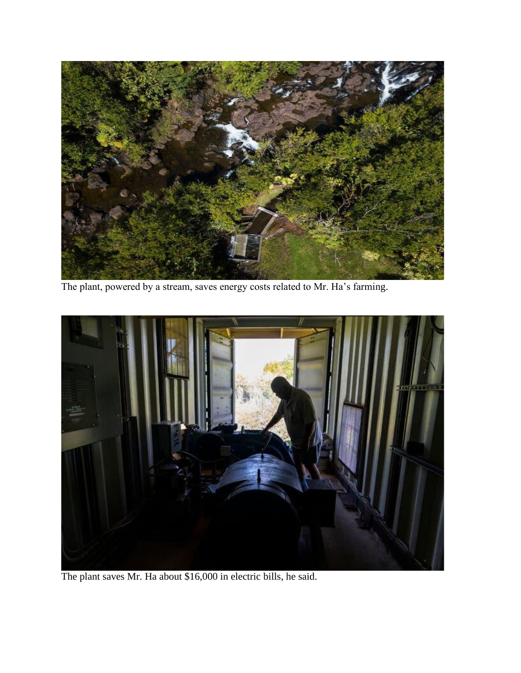

The plant, powered by a stream, saves energy costs related to Mr. Ha's farming.



The plant saves Mr. Ha about \$16,000 in electric bills, he said.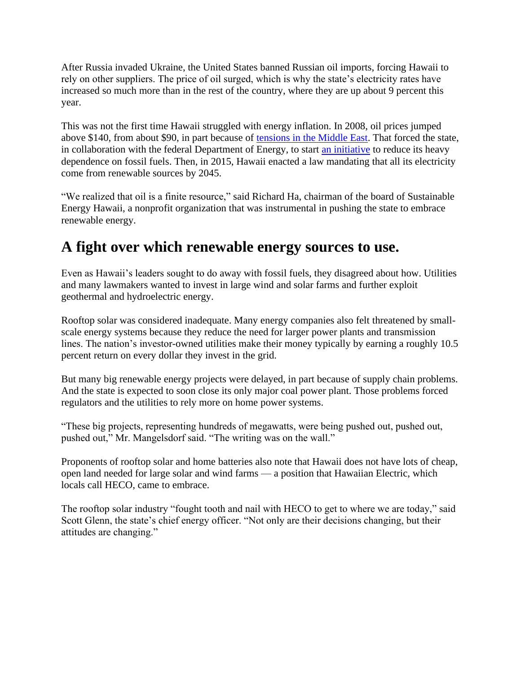After Russia invaded Ukraine, the United States banned Russian oil imports, forcing Hawaii to rely on other suppliers. The price of oil surged, which is why the state's electricity rates have increased so much more than in the rest of the country, where they are up about 9 percent this year.

This was not the first time Hawaii struggled with energy inflation. In 2008, oil prices jumped above \$140, from about \$90, in part because of [tensions in the Middle East.](https://www.nytimes.com/2008/06/07/business/07oil.html) That forced the state, in collaboration with the federal Department of Energy, to start [an initiative](https://energy.hawaii.gov/hcei) to reduce its heavy dependence on fossil fuels. Then, in 2015, Hawaii enacted a law mandating that all its electricity come from renewable sources by 2045.

"We realized that oil is a finite resource," said Richard Ha, chairman of the board of Sustainable Energy Hawaii, a nonprofit organization that was instrumental in pushing the state to embrace renewable energy.

### **A fight over which renewable energy sources to use.**

Even as Hawaii's leaders sought to do away with fossil fuels, they disagreed about how. Utilities and many lawmakers wanted to invest in large wind and solar farms and further exploit geothermal and hydroelectric energy.

Rooftop solar was considered inadequate. Many energy companies also felt threatened by smallscale energy systems because they reduce the need for larger power plants and transmission lines. The nation's investor-owned utilities make their money typically by earning a roughly 10.5 percent return on every dollar they invest in the grid.

But many big renewable energy projects were delayed, in part because of supply chain problems. And the state is expected to soon close its only major coal power plant. Those problems forced regulators and the utilities to rely more on home power systems.

"These big projects, representing hundreds of megawatts, were being pushed out, pushed out, pushed out," Mr. Mangelsdorf said. "The writing was on the wall."

Proponents of rooftop solar and home batteries also note that Hawaii does not have lots of cheap, open land needed for large solar and wind farms — a position that Hawaiian Electric, which locals call HECO, came to embrace.

The rooftop solar industry "fought tooth and nail with HECO to get to where we are today," said Scott Glenn, the state's chief energy officer. "Not only are their decisions changing, but their attitudes are changing."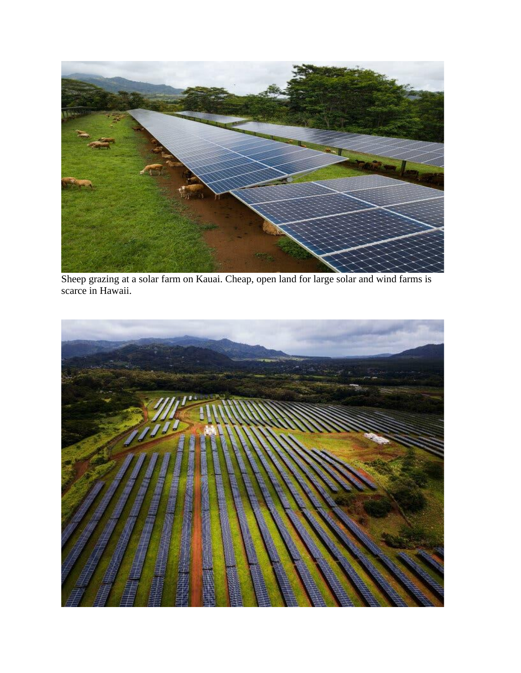

Sheep grazing at a solar farm on Kauai. Cheap, open land for large solar and wind farms is scarce in Hawaii.

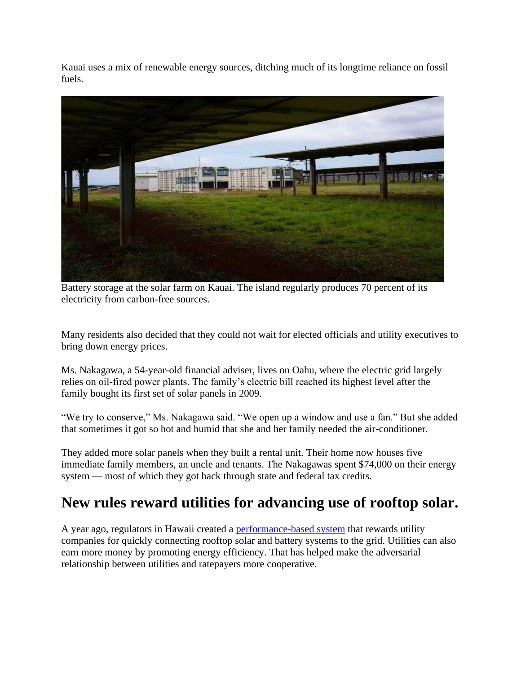Kauai uses a mix of renewable energy sources, ditching much of its longtime reliance on fossil fuels.



Battery storage at the solar farm on Kauai. The island regularly produces 70 percent of its electricity from carbon-free sources.

Many residents also decided that they could not wait for elected officials and utility executives to bring down energy prices.

Ms. Nakagawa, a 54-year-old financial adviser, lives on Oahu, where the electric grid largely relies on oil-fired power plants. The family's electric bill reached its highest level after the family bought its first set of solar panels in 2009.

"We try to conserve," Ms. Nakagawa said. "We open up a window and use a fan." But she added that sometimes it got so hot and humid that she and her family needed the air-conditioner.

They added more solar panels when they built a rental unit. Their home now houses five immediate family members, an uncle and tenants. The Nakagawas spent \$74,000 on their energy system — most of which they got back through state and federal tax credits.

### **New rules reward utilities for advancing use of rooftop solar.**

A year ago, regulators in Hawaii created a [performance-based system](https://puc.hawaii.gov/energy/pbr/) that rewards utility companies for quickly connecting rooftop solar and battery systems to the grid. Utilities can also earn more money by promoting energy efficiency. That has helped make the adversarial relationship between utilities and ratepayers more cooperative.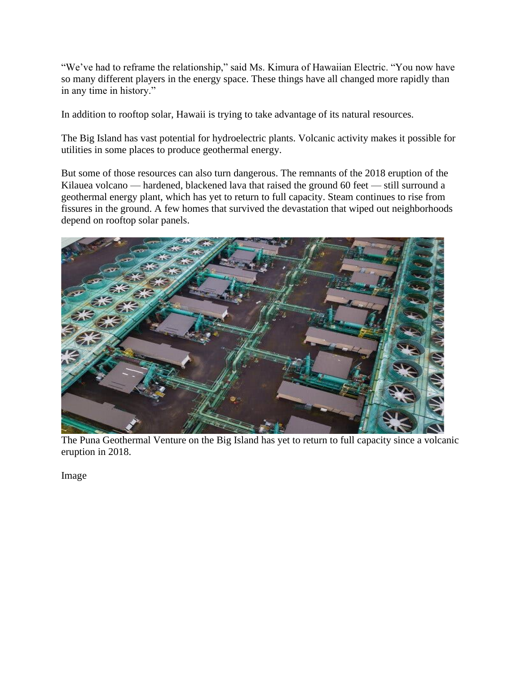"We've had to reframe the relationship," said Ms. Kimura of Hawaiian Electric. "You now have so many different players in the energy space. These things have all changed more rapidly than in any time in history."

In addition to rooftop solar, Hawaii is trying to take advantage of its natural resources.

The Big Island has vast potential for hydroelectric plants. Volcanic activity makes it possible for utilities in some places to produce geothermal energy.

But some of those resources can also turn dangerous. The remnants of the 2018 eruption of the Kilauea volcano — hardened, blackened lava that raised the ground 60 feet — still surround a geothermal energy plant, which has yet to return to full capacity. Steam continues to rise from fissures in the ground. A few homes that survived the devastation that wiped out neighborhoods depend on rooftop solar panels.



The Puna Geothermal Venture on the Big Island has yet to return to full capacity since a volcanic eruption in 2018.

Image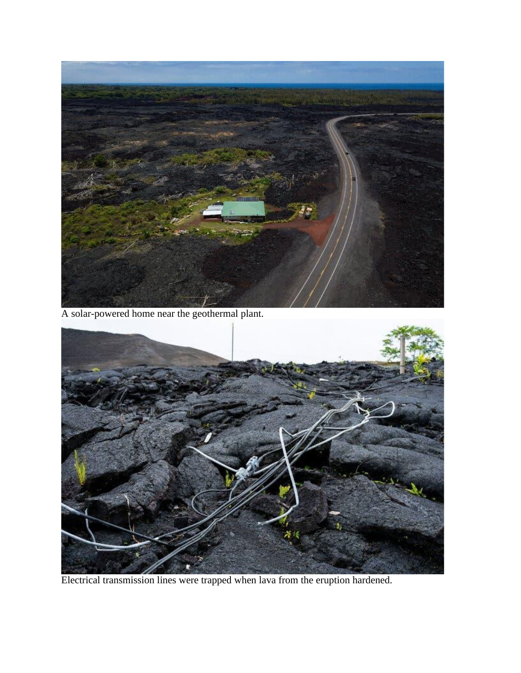

A solar-powered home near the geothermal plant.



Electrical transmission lines were trapped when lava from the eruption hardened.